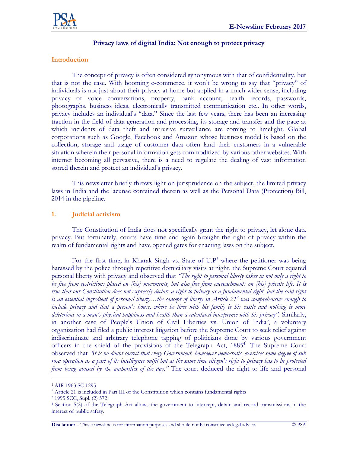

# **Privacy laws of digital India: Not enough to protect privacy**

# **Introduction**

The concept of privacy is often considered synonymous with that of confidentiality, but that is not the case. With booming e-commerce, it won't be wrong to say that "privacy" of individuals is not just about their privacy at home but applied in a much wider sense, including privacy of voice conversations, property, bank account, health records, passwords, photographs, business ideas, electronically transmitted communication etc.. In other words, privacy includes an individual's "data." Since the last few years, there has been an increasing traction in the field of data generation and processing, its storage and transfer and the pace at which incidents of data theft and intrusive surveillance are coming to limelight. Global corporations such as Google, Facebook and Amazon whose business model is based on the collection, storage and usage of customer data often land their customers in a vulnerable situation wherein their personal information gets commoditized by various other websites. With internet becoming all pervasive, there is a need to regulate the dealing of vast information stored therein and protect an individual's privacy.

This newsletter briefly throws light on jurisprudence on the subject, the limited privacy laws in India and the lacunae contained therein as well as the Personal Data (Protection) Bill, 2014 in the pipeline.

#### **1. Judicial activism**

The Constitution of India does not specifically grant the right to privacy, let alone data privacy. But fortunately, courts have time and again brought the right of privacy within the realm of fundamental rights and have opened gates for enacting laws on the subject.

For the first time, in Kharak Singh vs. State of  $U.P<sup>1</sup>$  where the petitioner was being harassed by the police through repetitive domiciliary visits at night, the Supreme Court equated personal liberty with privacy and observed that *"The right to personal liberty takes in not only a right to be free from restrictions placed on [his] movements, but also free from encroachments on [his] private life. It is true that our Constitution does not expressly declare a right to privacy as a fundamental right, but the said right is an essential ingredient of personal liberty…the concept of liberty in Article 21<sup>2</sup> was comprehensive enough to include privacy and that a person's house, where he lives with his family is his castle and nothing is more deleterious to a man's physical happiness and health than a calculated interference with his privacy".* Similarly, in another case of People's Union of Civil Liberties vs. Union of India<sup>3</sup>, a voluntary organization had filed a public interest litigation before the Supreme Court to seek relief against indiscriminate and arbitrary telephone tapping of politicians done by various government officers in the shield of the provisions of the Telegraph Act, 1885<sup>4</sup>. The Supreme Court observed that *"It is no doubt correct that every Government, howsoever democratic, exercises some degree of sub rosa operation as a part of its intelligence outfit but at the same time citizen's right to privacy has to be protected from being abused by the authorities of the day."* The court deduced the right to life and personal

 $\overline{a}$ 

<sup>1</sup> AIR 1963 SC 1295

<sup>2</sup> Article 21 is included in Part III of the Constitution which contains fundamental rights

<sup>3</sup> 1995 SCC, Supl. (2) 572

<sup>4</sup> Section 5(2) of the Telegraph Act allows the government to intercept, detain and record transmissions in the interest of public safety.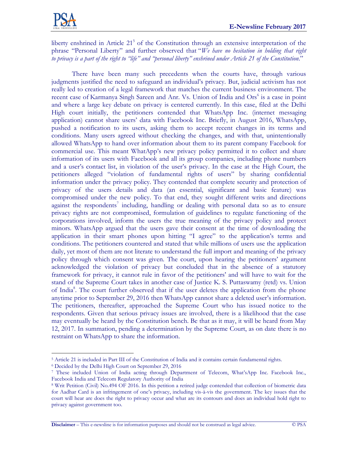

liberty enshrined in Article 21<sup>5</sup> of the Constitution through an extensive interpretation of the phrase "Personal Liberty" and further observed that "*We have no hesitation in holding that right to privacy is a part of the right to "life" and "personal liberty" enshrined under Article 21 of the Constitution*."

There have been many such precedents when the courts have, through various judgments justified the need to safeguard an individual's privacy. But, judicial activism has not really led to creation of a legal framework that matches the current business environment. The recent case of Karmanya Singh Sareen and Anr. Vs. Union of India and Ors<sup>6</sup> is a case in point and where a large key debate on privacy is centered currently. In this case, filed at the Delhi High court initially, the petitioners contended that WhatsApp Inc. (internet messaging application) cannot share users' data with Facebook Inc. Briefly, in August 2016, WhatsApp, pushed a notification to its users, asking them to accept recent changes in its terms and conditions. Many users agreed without checking the changes, and with that, unintentionally allowed WhatsApp to hand over information about them to its parent company Facebook for commercial use. This meant WhatApp's new privacy policy permitted it to collect and share information of its users with Facebook and all its group companies, including phone numbers and a user's contact list, in violation of the user's privacy. In the case at the High Court, the petitioners alleged "violation of fundamental rights of users" by sharing confidential information under the privacy policy. They contended that complete security and protection of privacy of the users details and data (an essential, significant and basic feature) was compromised under the new policy. To that end, they sought different writs and directions against the respondents<sup>7</sup> including, handling or dealing with personal data so as to ensure privacy rights are not compromised, formulation of guidelines to regulate functioning of the corporations involved, inform the users the true meaning of the privacy policy and protect minors. WhatsApp argued that the users gave their consent at the time of downloading the application in their smart phones upon hitting "I agree" to the application's terms and conditions. The petitioners countered and stated that while millions of users use the application daily, yet most of them are not literate to understand the full import and meaning of the privacy policy through which consent was given. The court, upon hearing the petitioners' argument acknowledged the violation of privacy but concluded that in the absence of a statutory framework for privacy, it cannot rule in favor of the petitioners' and will have to wait for the stand of the Supreme Court takes in another case of Justice K. S. Puttaswamy (retd) vs. Union of India<sup>8</sup>. The court further observed that if the user deletes the application from the phone anytime prior to September 29, 2016 then WhatsApp cannot share a deleted user's information. The petitioners, thereafter, approached the Supreme Court who has issued notice to the respondents. Given that serious privacy issues are involved, there is a likelihood that the case may eventually be heard by the Constitution bench. Be that as it may, it will be heard from May 12, 2017. In summation, pending a determination by the Supreme Court, as on date there is no restraint on WhatsApp to share the information.

 $\overline{a}$ 

**Disclaimer** – This e-newsline is for information purposes and should not be construed as legal advice. © PSA

<sup>5</sup> Article 21 is included in Part III of the Constitution of India and it contains certain fundamental rights.

<sup>6</sup> Decided by the Delhi High Court on September 29, 2016

<sup>7</sup> These included Union of India acting through Department of Telecom, What'sApp Inc. Facebook Inc., Facebook India and Telecom Regulatory Authority of India

<sup>8</sup> Writ Petition (Civil) No.494 OF 2016. In this petition a retired judge contended that collection of biometric data for Aadhar Card is an infringement of one's privacy, including vis-à-vis the government. The key issues that the court will hear are does the right to privacy occur and what are its contours and does an individual hold right to privacy against government too.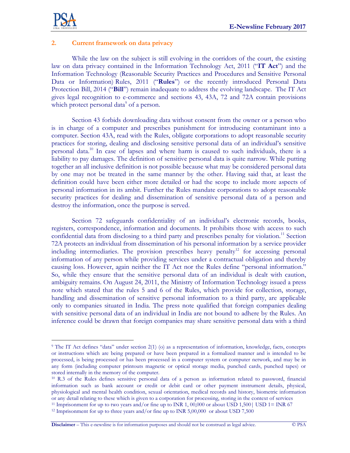

 $\overline{a}$ 

# **2. Current framework on data privacy**

While the law on the subject is still evolving in the corridors of the court, the existing law on data privacy contained in the Information Technology Act, 2011 ("**IT Act**") and the Information Technology (Reasonable Security Practices and Procedures and Sensitive Personal Data or Information) Rules, 2011 ("**Rules**") or the recently introduced Personal Data Protection Bill, 2014 ("**Bill**") remain inadequate to address the evolving landscape. The IT Act gives legal recognition to e-commerce and sections 43, 43A, 72 and 72A contain provisions which protect personal data<sup>9</sup> of a person.

Section 43 forbids downloading data without consent from the owner or a person who is in charge of a computer and prescribes punishment for introducing contaminant into a computer. Section 43A, read with the Rules, obligate corporations to adopt reasonable security practices for storing, dealing and disclosing sensitive personal data of an individual's sensitive personal data.<sup>10</sup> In case of lapses and where harm is caused to such individuals, there is a liability to pay damages. The definition of sensitive personal data is quite narrow. While putting together an all inclusive definition is not possible because what may be considered personal data by one may not be treated in the same manner by the other. Having said that, at least the definition could have been either more detailed or had the scope to include more aspects of personal information in its ambit. Further the Rules mandate corporations to adopt reasonable security practices for dealing and dissemination of sensitive personal data of a person and destroy the information, once the purpose is served.

Section 72 safeguards confidentiality of an individual's electronic records, books, registers, correspondence, information and documents. It prohibits those with access to such confidential data from disclosing to a third party and prescribes penalty for violation.<sup>11</sup> Section 72A protects an individual from dissemination of his personal information by a service provider including intermediaries. The provision prescribes heavy penalty<sup>12</sup> for accessing personal information of any person while providing services under a contractual obligation and thereby causing loss. However, again neither the IT Act nor the Rules define "personal information." So, while they ensure that the sensitive personal data of an individual is dealt with caution, ambiguity remains. On August 24, 2011, the Ministry of Information Technology issued a press note which stated that the rules 5 and 6 of the Rules, which provide for collection, storage, handling and dissemination of sensitive personal information to a third party, are applicable only to companies situated in India. The press note qualified that foreign companies dealing with sensitive personal data of an individual in India are not bound to adhere by the Rules. An inference could be drawn that foreign companies may share sensitive personal data with a third

**Disclaimer** – This e-newsline is for information purposes and should not be construed as legal advice. © PSA

<sup>&</sup>lt;sup>9</sup> The IT Act defines "data" under section 2(1) (o) as a representation of information, knowledge, facts, concepts or instructions which are being prepared or have been prepared in a formalized manner and is intended to be processed, is being processed or has been processed in a computer system or computer network, and may be in any form (including computer printouts magnetic or optical storage media, punched cards, punched tapes) or stored internally in the memory of the computer.

<sup>10</sup> R.3 of the Rules defines sensitive personal data of a person as information related to password, financial information such as bank account or credit or debit card or other payment instrument details, physical, physiological and mental health condition, sexual orientation, medical records and history, biometric information or any detail relating to these which is given to a corporation for processing, storing in the context of services <sup>11</sup> Imprisonment for up to two years and/or fine up to INR 1, 00,000 or about USD 1,500 USD 1= INR 67

<sup>&</sup>lt;sup>12</sup> Imprisonment for up to three years and/or fine up to INR 5,00,000 or about USD 7,500